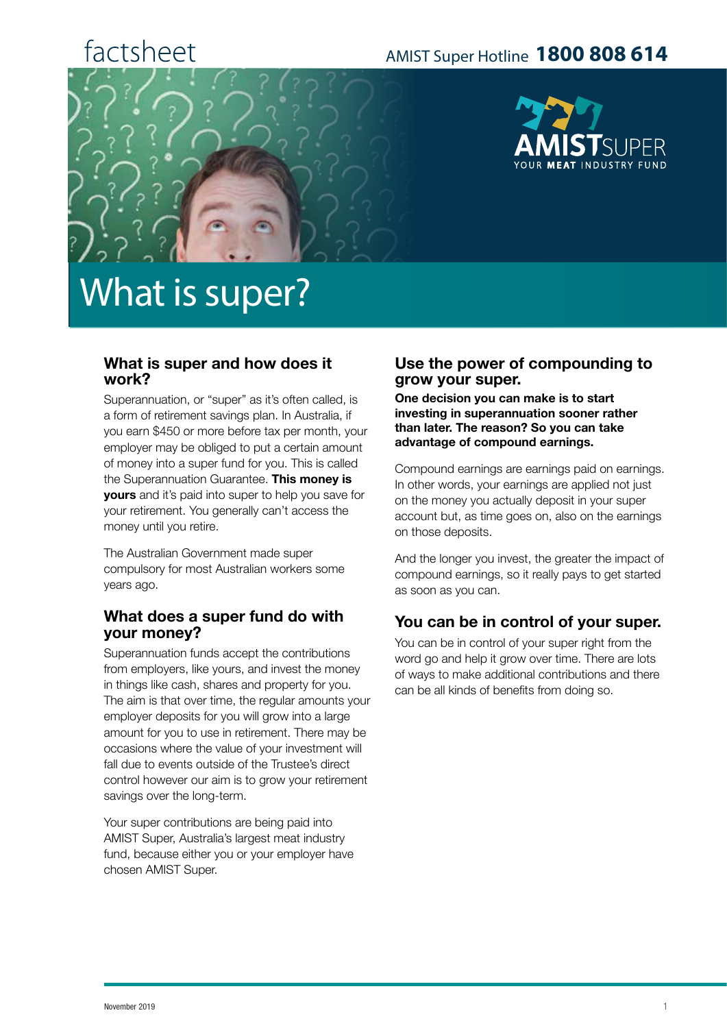## factsheet

### AMIST Super Hotline **1800 808 614**



# What is super?

#### **What is super and how does it work?**

Superannuation, or "super" as it's often called, is a form of retirement savings plan. In Australia, if you earn \$450 or more before tax per month, your employer may be obliged to put a certain amount of money into a super fund for you. This is called the Superannuation Guarantee. **This money is yours** and it's paid into super to help you save for your retirement. You generally can't access the money until you retire.

The Australian Government made super compulsory for most Australian workers some years ago.

#### **What does a super fund do with your money?**

Superannuation funds accept the contributions from employers, like yours, and invest the money in things like cash, shares and property for you. The aim is that over time, the regular amounts your employer deposits for you will grow into a large amount for you to use in retirement. There may be occasions where the value of your investment will fall due to events outside of the Trustee's direct control however our aim is to grow your retirement savings over the long-term.

Your super contributions are being paid into AMIST Super, Australia's largest meat industry fund, because either you or your employer have chosen AMIST Super.

#### **Use the power of compounding to grow your super.**

**One decision you can make is to start investing in superannuation sooner rather than later. The reason? So you can take advantage of compound earnings.**

Compound earnings are earnings paid on earnings. In other words, your earnings are applied not just on the money you actually deposit in your super account but, as time goes on, also on the earnings on those deposits.

And the longer you invest, the greater the impact of compound earnings, so it really pays to get started as soon as you can.

#### **You can be in control of your super.**

You can be in control of your super right from the word go and help it grow over time. There are lots of ways to make additional contributions and there can be all kinds of benefits from doing so.